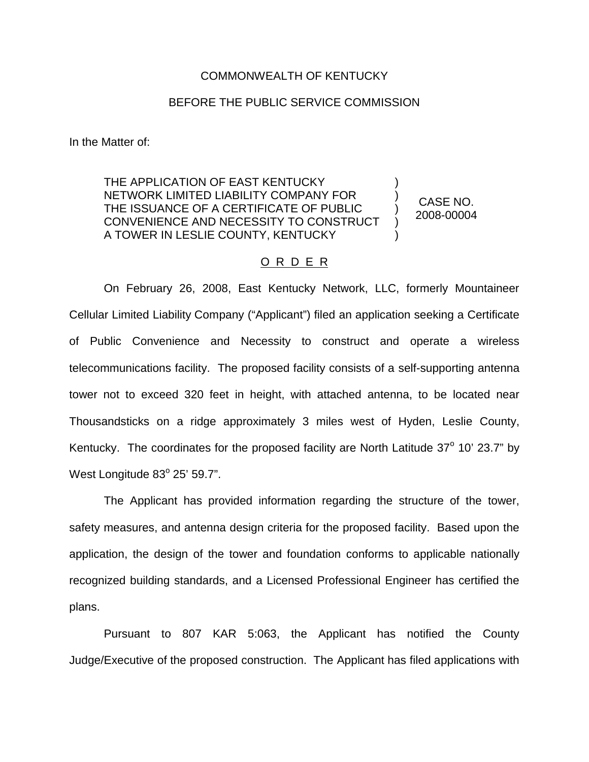## COMMONWEALTH OF KENTUCKY

## BEFORE THE PUBLIC SERVICE COMMISSION

In the Matter of:

THE APPLICATION OF EAST KENTUCKY NETWORK LIMITED LIABILITY COMPANY FOR THE ISSUANCE OF A CERTIFICATE OF PUBLIC CONVENIENCE AND NECESSITY TO CONSTRUCT A TOWER IN LESLIE COUNTY, KENTUCKY ) ) ) ) )

CASE NO. 2008-00004

## O R D E R

On February 26, 2008, East Kentucky Network, LLC, formerly Mountaineer Cellular Limited Liability Company ("Applicant") filed an application seeking a Certificate of Public Convenience and Necessity to construct and operate a wireless telecommunications facility. The proposed facility consists of a self-supporting antenna tower not to exceed 320 feet in height, with attached antenna, to be located near Thousandsticks on a ridge approximately 3 miles west of Hyden, Leslie County, Kentucky. The coordinates for the proposed facility are North Latitude  $37^{\circ}$  10' 23.7" by West Longitude 83° 25' 59.7".

The Applicant has provided information regarding the structure of the tower, safety measures, and antenna design criteria for the proposed facility. Based upon the application, the design of the tower and foundation conforms to applicable nationally recognized building standards, and a Licensed Professional Engineer has certified the plans.

Pursuant to 807 KAR 5:063, the Applicant has notified the County Judge/Executive of the proposed construction. The Applicant has filed applications with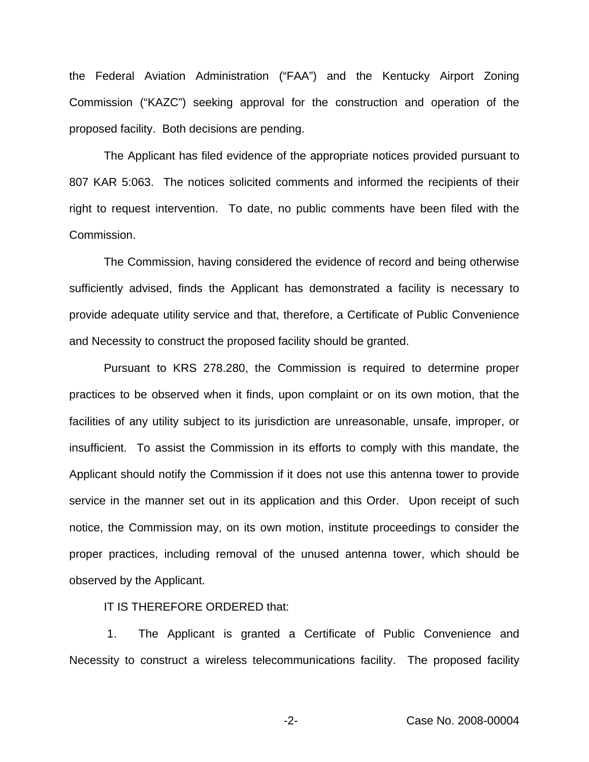the Federal Aviation Administration ("FAA") and the Kentucky Airport Zoning Commission ("KAZC") seeking approval for the construction and operation of the proposed facility. Both decisions are pending.

The Applicant has filed evidence of the appropriate notices provided pursuant to 807 KAR 5:063. The notices solicited comments and informed the recipients of their right to request intervention. To date, no public comments have been filed with the Commission.

The Commission, having considered the evidence of record and being otherwise sufficiently advised, finds the Applicant has demonstrated a facility is necessary to provide adequate utility service and that, therefore, a Certificate of Public Convenience and Necessity to construct the proposed facility should be granted.

Pursuant to KRS 278.280, the Commission is required to determine proper practices to be observed when it finds, upon complaint or on its own motion, that the facilities of any utility subject to its jurisdiction are unreasonable, unsafe, improper, or insufficient. To assist the Commission in its efforts to comply with this mandate, the Applicant should notify the Commission if it does not use this antenna tower to provide service in the manner set out in its application and this Order. Upon receipt of such notice, the Commission may, on its own motion, institute proceedings to consider the proper practices, including removal of the unused antenna tower, which should be observed by the Applicant.

IT IS THEREFORE ORDERED that:

1. The Applicant is granted a Certificate of Public Convenience and Necessity to construct a wireless telecommunications facility. The proposed facility